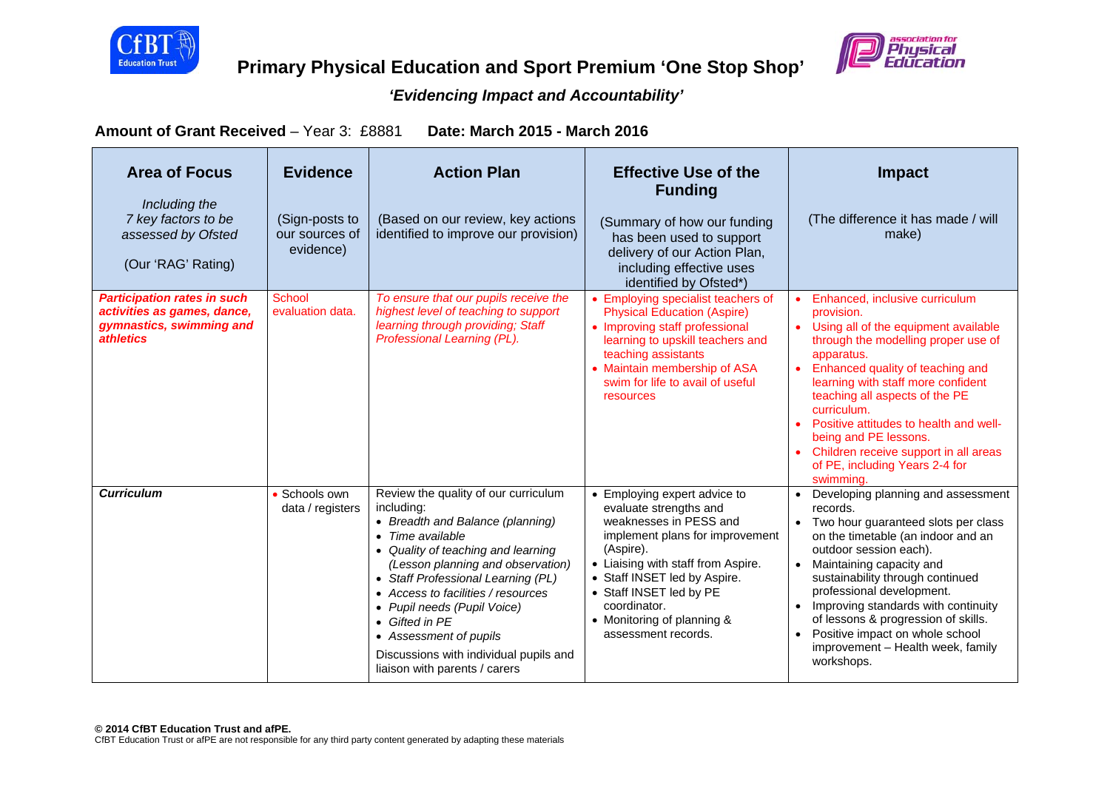



# **Primary Physical Education and Sport Premium 'One Stop Shop'**

## *'Evidencing Impact and Accountability'*

**Amount of Grant Received** – Year 3: £8881 **Date: March 2015 - March 2016** 

| <b>Area of Focus</b><br>Including the<br>7 key factors to be<br>assessed by Ofsted<br>(Our 'RAG' Rating)          | <b>Evidence</b><br>(Sign-posts to<br>our sources of<br>evidence) | <b>Action Plan</b><br>(Based on our review, key actions<br>identified to improve our provision)                                                                                                                                                                                                                                                                                                                                    | <b>Effective Use of the</b><br><b>Funding</b><br>(Summary of how our funding<br>has been used to support<br>delivery of our Action Plan,<br>including effective uses                                                                                                                                   | <b>Impact</b><br>(The difference it has made / will<br>make)                                                                                                                                                                                                                                                                                                                                                                                     |
|-------------------------------------------------------------------------------------------------------------------|------------------------------------------------------------------|------------------------------------------------------------------------------------------------------------------------------------------------------------------------------------------------------------------------------------------------------------------------------------------------------------------------------------------------------------------------------------------------------------------------------------|--------------------------------------------------------------------------------------------------------------------------------------------------------------------------------------------------------------------------------------------------------------------------------------------------------|--------------------------------------------------------------------------------------------------------------------------------------------------------------------------------------------------------------------------------------------------------------------------------------------------------------------------------------------------------------------------------------------------------------------------------------------------|
| <b>Participation rates in such</b><br>activities as games, dance,<br>gymnastics, swimming and<br><i>athletics</i> | School<br>evaluation data.                                       | To ensure that our pupils receive the<br>highest level of teaching to support<br>learning through providing; Staff<br>Professional Learning (PL).                                                                                                                                                                                                                                                                                  | identified by Ofsted*)<br>• Employing specialist teachers of<br><b>Physical Education (Aspire)</b><br>• Improving staff professional<br>learning to upskill teachers and<br>teaching assistants<br>• Maintain membership of ASA<br>swim for life to avail of useful<br>resources                       | Enhanced, inclusive curriculum<br>provision.<br>• Using all of the equipment available<br>through the modelling proper use of<br>apparatus.<br>Enhanced quality of teaching and<br>learning with staff more confident<br>teaching all aspects of the PE<br>curriculum.<br>Positive attitudes to health and well-<br>being and PE lessons.<br>Children receive support in all areas<br>of PE, including Years 2-4 for<br>swimming.                |
| <b>Curriculum</b>                                                                                                 | • Schools own<br>data / registers                                | Review the quality of our curriculum<br>including:<br>• Breadth and Balance (planning)<br>Time available<br>$\bullet$<br>• Quality of teaching and learning<br>(Lesson planning and observation)<br>• Staff Professional Learning (PL)<br>• Access to facilities / resources<br>• Pupil needs (Pupil Voice)<br>• Gifted in PF<br>• Assessment of pupils<br>Discussions with individual pupils and<br>liaison with parents / carers | • Employing expert advice to<br>evaluate strengths and<br>weaknesses in PESS and<br>implement plans for improvement<br>(Aspire).<br>• Liaising with staff from Aspire.<br>• Staff INSET led by Aspire.<br>• Staff INSET led by PE<br>coordinator.<br>• Monitoring of planning &<br>assessment records. | Developing planning and assessment<br>$\bullet$<br>records.<br>Two hour guaranteed slots per class<br>on the timetable (an indoor and an<br>outdoor session each).<br>Maintaining capacity and<br>$\bullet$<br>sustainability through continued<br>professional development.<br>Improving standards with continuity<br>of lessons & progression of skills.<br>Positive impact on whole school<br>improvement - Health week, family<br>workshops. |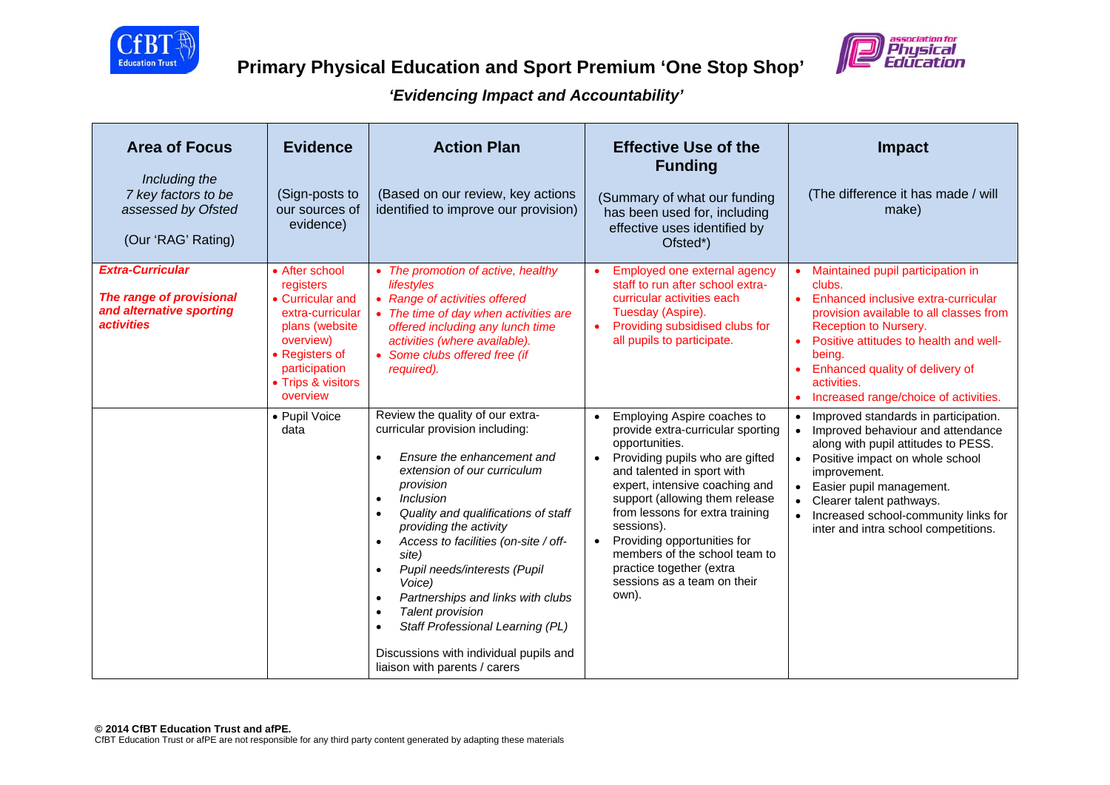



| <b>Area of Focus</b><br>Including the<br>7 key factors to be<br>assessed by Ofsted<br>(Our 'RAG' Rating)    | <b>Evidence</b><br>(Sign-posts to<br>our sources of<br>evidence)                                                                                                        | <b>Action Plan</b><br>(Based on our review, key actions<br>identified to improve our provision)                                                                                                                                                                                                                                                                                                                                                                                                                                                                                                   | <b>Effective Use of the</b><br><b>Funding</b><br>(Summary of what our funding<br>has been used for, including<br>effective uses identified by<br>Ofsted*)                                                                                                                                                                                                                                                                              | <b>Impact</b><br>(The difference it has made / will<br>make)                                                                                                                                                                                                                                                  |
|-------------------------------------------------------------------------------------------------------------|-------------------------------------------------------------------------------------------------------------------------------------------------------------------------|---------------------------------------------------------------------------------------------------------------------------------------------------------------------------------------------------------------------------------------------------------------------------------------------------------------------------------------------------------------------------------------------------------------------------------------------------------------------------------------------------------------------------------------------------------------------------------------------------|----------------------------------------------------------------------------------------------------------------------------------------------------------------------------------------------------------------------------------------------------------------------------------------------------------------------------------------------------------------------------------------------------------------------------------------|---------------------------------------------------------------------------------------------------------------------------------------------------------------------------------------------------------------------------------------------------------------------------------------------------------------|
| <b>Extra-Curricular</b><br>The range of provisional<br>and alternative sporting<br><i><b>activities</b></i> | • After school<br>registers<br>• Curricular and<br>extra-curricular<br>plans (website<br>overview)<br>• Registers of<br>participation<br>• Trips & visitors<br>overview | • The promotion of active, healthy<br>lifestyles<br>• Range of activities offered<br>• The time of day when activities are<br>offered including any lunch time<br>activities (where available).<br>• Some clubs offered free (if<br>required).                                                                                                                                                                                                                                                                                                                                                    | Employed one external agency<br>staff to run after school extra-<br>curricular activities each<br>Tuesday (Aspire).<br>Providing subsidised clubs for<br>$\bullet$<br>all pupils to participate.                                                                                                                                                                                                                                       | • Maintained pupil participation in<br>clubs.<br>Enhanced inclusive extra-curricular<br>provision available to all classes from<br>Reception to Nursery.<br>• Positive attitudes to health and well-<br>being.<br>Enhanced quality of delivery of<br>activities.<br>Increased range/choice of activities.     |
|                                                                                                             | • Pupil Voice<br>data                                                                                                                                                   | Review the quality of our extra-<br>curricular provision including:<br>Ensure the enhancement and<br>$\bullet$<br>extension of our curriculum<br>provision<br><i><b>Inclusion</b></i><br>$\bullet$<br>Quality and qualifications of staff<br>providing the activity<br>Access to facilities (on-site / off-<br>$\bullet$<br>site)<br>Pupil needs/interests (Pupil<br>$\bullet$<br>Voice)<br>Partnerships and links with clubs<br>$\bullet$<br><b>Talent provision</b><br>$\bullet$<br>Staff Professional Learning (PL)<br>Discussions with individual pupils and<br>liaison with parents / carers | Employing Aspire coaches to<br>$\bullet$<br>provide extra-curricular sporting<br>opportunities.<br>Providing pupils who are gifted<br>$\bullet$<br>and talented in sport with<br>expert, intensive coaching and<br>support (allowing them release<br>from lessons for extra training<br>sessions).<br>Providing opportunities for<br>members of the school team to<br>practice together (extra<br>sessions as a team on their<br>own). | Improved standards in participation.<br>Improved behaviour and attendance<br>along with pupil attitudes to PESS.<br>• Positive impact on whole school<br>improvement.<br>Easier pupil management.<br>Clearer talent pathways.<br>Increased school-community links for<br>inter and intra school competitions. |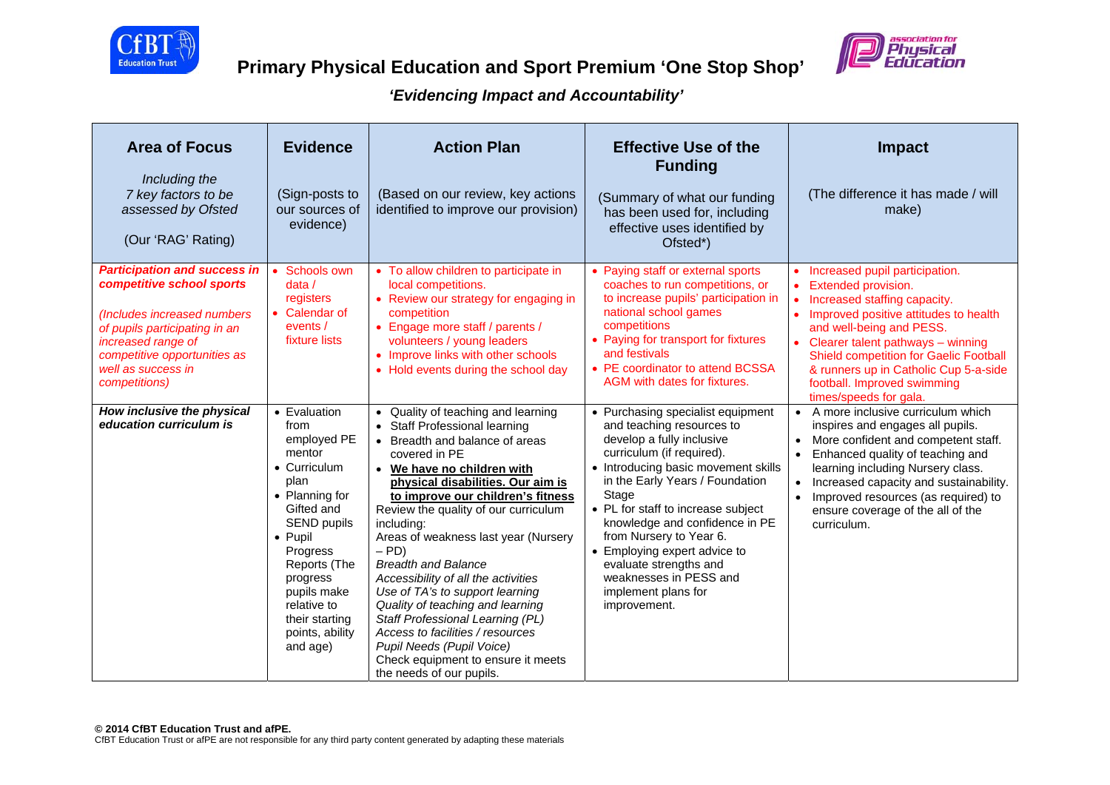



| <b>Area of Focus</b><br>Including the<br>7 key factors to be<br>assessed by Ofsted<br>(Our 'RAG' Rating)                                                                                                                      | <b>Evidence</b><br>(Sign-posts to<br>our sources of<br>evidence)                                                                                                                                                                                              | <b>Action Plan</b><br>(Based on our review, key actions<br>identified to improve our provision)                                                                                                                                                                                                                                                                                                                                                                                                                                                                                                                                                            | <b>Effective Use of the</b><br><b>Funding</b><br>(Summary of what our funding<br>has been used for, including<br>effective uses identified by<br>Ofsted*)                                                                                                                                                                                                                                                                                 | <b>Impact</b><br>(The difference it has made / will<br>make)                                                                                                                                                                                                                                                                                             |
|-------------------------------------------------------------------------------------------------------------------------------------------------------------------------------------------------------------------------------|---------------------------------------------------------------------------------------------------------------------------------------------------------------------------------------------------------------------------------------------------------------|------------------------------------------------------------------------------------------------------------------------------------------------------------------------------------------------------------------------------------------------------------------------------------------------------------------------------------------------------------------------------------------------------------------------------------------------------------------------------------------------------------------------------------------------------------------------------------------------------------------------------------------------------------|-------------------------------------------------------------------------------------------------------------------------------------------------------------------------------------------------------------------------------------------------------------------------------------------------------------------------------------------------------------------------------------------------------------------------------------------|----------------------------------------------------------------------------------------------------------------------------------------------------------------------------------------------------------------------------------------------------------------------------------------------------------------------------------------------------------|
| <b>Participation and success in</b><br>competitive school sports<br>(Includes increased numbers<br>of pupils participating in an<br>increased range of<br>competitive opportunities as<br>well as success in<br>competitions) | Schools own<br>data/<br>registers<br>• Calendar of<br>events /<br>fixture lists                                                                                                                                                                               | • To allow children to participate in<br>local competitions.<br>• Review our strategy for engaging in<br>competition<br>• Engage more staff / parents /<br>volunteers / young leaders<br>• Improve links with other schools<br>• Hold events during the school day                                                                                                                                                                                                                                                                                                                                                                                         | • Paying staff or external sports<br>coaches to run competitions, or<br>to increase pupils' participation in<br>national school games<br>competitions<br>• Paying for transport for fixtures<br>and festivals<br>• PE coordinator to attend BCSSA<br>AGM with dates for fixtures.                                                                                                                                                         | • Increased pupil participation.<br>• Extended provision.<br>Increased staffing capacity.<br>• Improved positive attitudes to health<br>and well-being and PESS.<br>Clearer talent pathways - winning<br><b>Shield competition for Gaelic Football</b><br>& runners up in Catholic Cup 5-a-side<br>football. Improved swimming<br>times/speeds for gala. |
| How inclusive the physical<br>education curriculum is                                                                                                                                                                         | • Evaluation<br>from<br>employed PE<br>mentor<br>• Curriculum<br>plan<br>• Planning for<br>Gifted and<br><b>SEND pupils</b><br>• Pupil<br>Progress<br>Reports (The<br>progress<br>pupils make<br>relative to<br>their starting<br>points, ability<br>and age) | • Quality of teaching and learning<br>• Staff Professional learning<br>• Breadth and balance of areas<br>covered in PE<br>• We have no children with<br>physical disabilities. Our aim is<br>to improve our children's fitness<br>Review the quality of our curriculum<br>including:<br>Areas of weakness last year (Nursery<br>$-$ PD)<br><b>Breadth and Balance</b><br>Accessibility of all the activities<br>Use of TA's to support learning<br>Quality of teaching and learning<br>Staff Professional Learning (PL)<br>Access to facilities / resources<br>Pupil Needs (Pupil Voice)<br>Check equipment to ensure it meets<br>the needs of our pupils. | • Purchasing specialist equipment<br>and teaching resources to<br>develop a fully inclusive<br>curriculum (if required).<br>• Introducing basic movement skills<br>in the Early Years / Foundation<br>Stage<br>• PL for staff to increase subject<br>knowledge and confidence in PE<br>from Nursery to Year 6.<br>• Employing expert advice to<br>evaluate strengths and<br>weaknesses in PESS and<br>implement plans for<br>improvement. | • A more inclusive curriculum which<br>inspires and engages all pupils.<br>More confident and competent staff.<br>Enhanced quality of teaching and<br>learning including Nursery class.<br>Increased capacity and sustainability.<br>Improved resources (as required) to<br>$\bullet$<br>ensure coverage of the all of the<br>curriculum.                |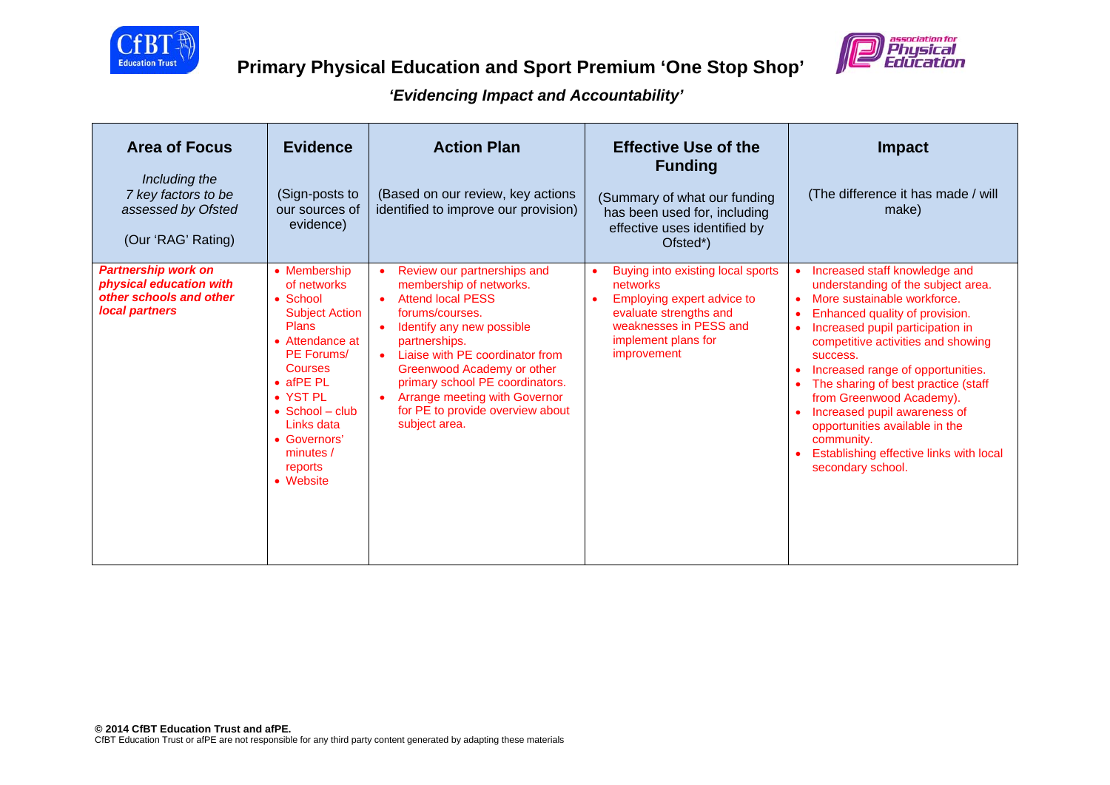



| <b>Area of Focus</b><br>Including the<br>7 key factors to be<br>assessed by Ofsted<br>(Our 'RAG' Rating) | <b>Evidence</b><br>(Sign-posts to<br>our sources of<br>evidence)                                                                                                                                                                                                   | <b>Action Plan</b><br>(Based on our review, key actions<br>identified to improve our provision)                                                                                                                                                                                                                                                                         | <b>Effective Use of the</b><br><b>Funding</b><br>(Summary of what our funding<br>has been used for, including<br>effective uses identified by<br>Ofsted*)                          | <b>Impact</b><br>(The difference it has made / will<br>make)                                                                                                                                                                                                                                                                                                                                                                                                                                    |
|----------------------------------------------------------------------------------------------------------|--------------------------------------------------------------------------------------------------------------------------------------------------------------------------------------------------------------------------------------------------------------------|-------------------------------------------------------------------------------------------------------------------------------------------------------------------------------------------------------------------------------------------------------------------------------------------------------------------------------------------------------------------------|------------------------------------------------------------------------------------------------------------------------------------------------------------------------------------|-------------------------------------------------------------------------------------------------------------------------------------------------------------------------------------------------------------------------------------------------------------------------------------------------------------------------------------------------------------------------------------------------------------------------------------------------------------------------------------------------|
| <b>Partnership work on</b><br>physical education with<br>other schools and other<br>local partners       | • Membership<br>of networks<br>• School<br><b>Subject Action</b><br><b>Plans</b><br>• Attendance at<br><b>PE Forums/</b><br>Courses<br>$\bullet$ afPE PL<br>• YST PL<br>$\bullet$ School – club<br>Links data<br>• Governors'<br>minutes /<br>reports<br>• Website | Review our partnerships and<br>$\bullet$<br>membership of networks.<br><b>Attend local PESS</b><br>$\bullet$<br>forums/courses.<br>Identify any new possible<br>partnerships.<br>Liaise with PE coordinator from<br>Greenwood Academy or other<br>primary school PE coordinators.<br>Arrange meeting with Governor<br>for PE to provide overview about<br>subject area. | Buying into existing local sports<br>networks<br>Employing expert advice to<br>$\bullet$<br>evaluate strengths and<br>weaknesses in PESS and<br>implement plans for<br>improvement | Increased staff knowledge and<br>$\bullet$<br>understanding of the subject area.<br>More sustainable workforce.<br>Enhanced quality of provision.<br>Increased pupil participation in<br>competitive activities and showing<br>success.<br>Increased range of opportunities.<br>The sharing of best practice (staff<br>from Greenwood Academy).<br>Increased pupil awareness of<br>opportunities available in the<br>community.<br>Establishing effective links with local<br>secondary school. |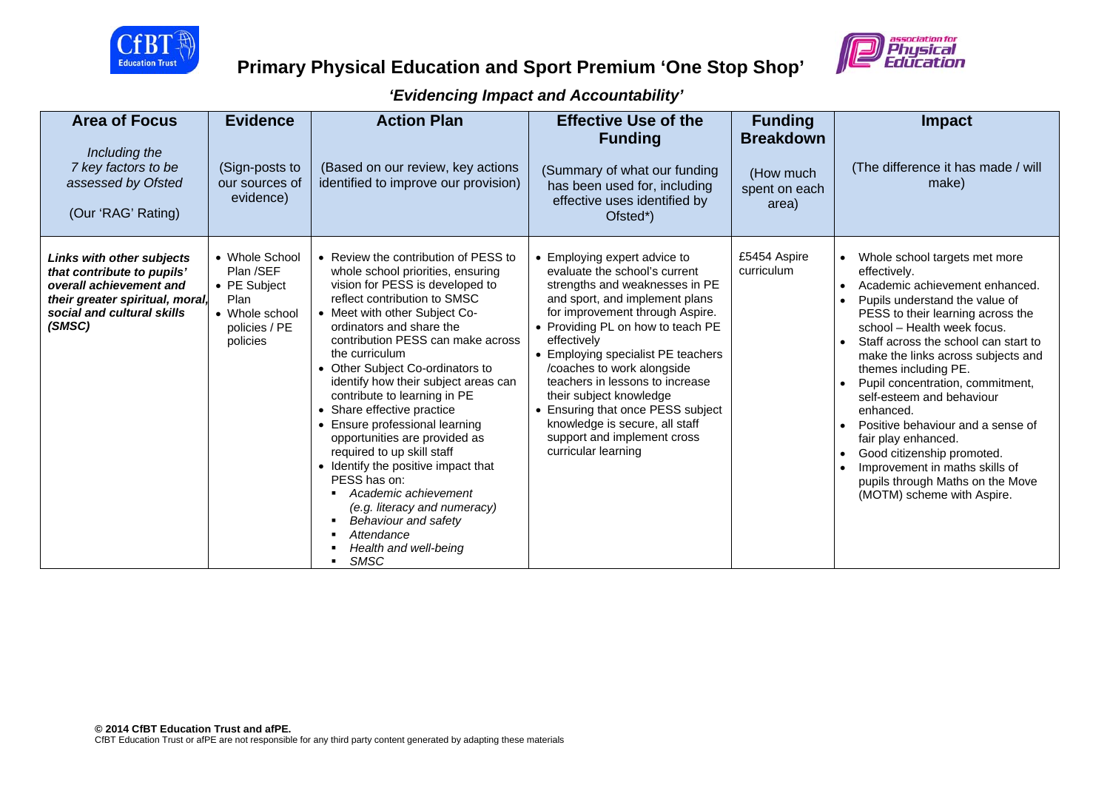

# **Primary Physical Education and Sport Premium 'One Stop Shop'**



| <b>Area of Focus</b><br>Including the<br>7 key factors to be<br>assessed by Ofsted<br>(Our 'RAG' Rating)                                                             | <b>Evidence</b><br>(Sign-posts to<br>our sources of<br>evidence)                                   | <b>Action Plan</b><br>(Based on our review, key actions<br>identified to improve our provision)                                                                                                                                                                                                                                                                                                                                                                                                                                                                                                                                                                                                        | <b>Effective Use of the</b><br><b>Funding</b><br>(Summary of what our funding<br>has been used for, including<br>effective uses identified by<br>Ofsted*)                                                                                                                                                                                                                                                                                                                               | <b>Funding</b><br><b>Breakdown</b><br>(How much<br>spent on each<br>area) | <b>Impact</b><br>(The difference it has made / will<br>make)                                                                                                                                                                                                                                                                                                                                                                                                                                                                                                            |
|----------------------------------------------------------------------------------------------------------------------------------------------------------------------|----------------------------------------------------------------------------------------------------|--------------------------------------------------------------------------------------------------------------------------------------------------------------------------------------------------------------------------------------------------------------------------------------------------------------------------------------------------------------------------------------------------------------------------------------------------------------------------------------------------------------------------------------------------------------------------------------------------------------------------------------------------------------------------------------------------------|-----------------------------------------------------------------------------------------------------------------------------------------------------------------------------------------------------------------------------------------------------------------------------------------------------------------------------------------------------------------------------------------------------------------------------------------------------------------------------------------|---------------------------------------------------------------------------|-------------------------------------------------------------------------------------------------------------------------------------------------------------------------------------------------------------------------------------------------------------------------------------------------------------------------------------------------------------------------------------------------------------------------------------------------------------------------------------------------------------------------------------------------------------------------|
| <b>Links with other subjects</b><br>that contribute to pupils'<br>overall achievement and<br>their greater spiritual, moral,<br>social and cultural skills<br>(SMSC) | • Whole School<br>Plan /SEF<br>• PE Subject<br>Plan<br>• Whole school<br>policies / PE<br>policies | • Review the contribution of PESS to<br>whole school priorities, ensuring<br>vision for PESS is developed to<br>reflect contribution to SMSC<br>• Meet with other Subject Co-<br>ordinators and share the<br>contribution PESS can make across<br>the curriculum<br>• Other Subject Co-ordinators to<br>identify how their subject areas can<br>contribute to learning in PE<br>• Share effective practice<br>Ensure professional learning<br>opportunities are provided as<br>required to up skill staff<br>• Identify the positive impact that<br>PESS has on:<br>Academic achievement<br>(e.g. literacy and numeracy)<br>Behaviour and safety<br>Attendance<br>Health and well-being<br><b>SMSC</b> | • Employing expert advice to<br>evaluate the school's current<br>strengths and weaknesses in PE<br>and sport, and implement plans<br>for improvement through Aspire.<br>• Providing PL on how to teach PE<br>effectively<br>• Employing specialist PE teachers<br>/coaches to work alongside<br>teachers in lessons to increase<br>their subject knowledge<br>• Ensuring that once PESS subject<br>knowledge is secure, all staff<br>support and implement cross<br>curricular learning | £5454 Aspire<br>curriculum                                                | Whole school targets met more<br>effectively.<br>Academic achievement enhanced.<br>Pupils understand the value of<br>PESS to their learning across the<br>school - Health week focus.<br>Staff across the school can start to<br>make the links across subjects and<br>themes including PE.<br>Pupil concentration, commitment,<br>self-esteem and behaviour<br>enhanced.<br>Positive behaviour and a sense of<br>fair play enhanced.<br>Good citizenship promoted.<br>Improvement in maths skills of<br>pupils through Maths on the Move<br>(MOTM) scheme with Aspire. |